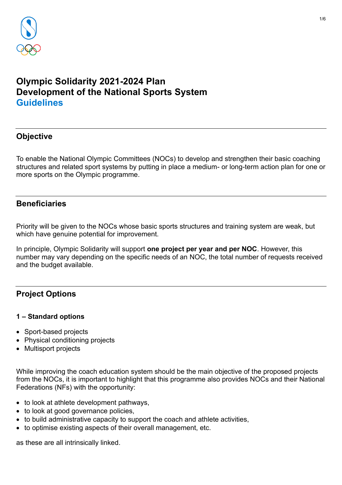

# **Olympic Solidarity 2021-2024 Plan Development of the National Sports System Guidelines**

## **Objective**

To enable the National Olympic Committees (NOCs) to develop and strengthen their basic coaching structures and related sport systems by putting in place a medium- or long-term action plan for one or more sports on the Olympic programme.

### **Beneficiaries**

Priority will be given to the NOCs whose basic sports structures and training system are weak, but which have genuine potential for improvement.

In principle, Olympic Solidarity will support **one project per year and per NOC**. However, this number may vary depending on the specific needs of an NOC, the total number of requests received and the budget available.

## **Project Options**

### **1 – Standard options**

- Sport-based projects
- Physical conditioning projects
- Multisport projects

While improving the coach education system should be the main objective of the proposed projects from the NOCs, it is important to highlight that this programme also provides NOCs and their National Federations (NFs) with the opportunity:

- to look at athlete development pathways,
- to look at good governance policies,
- to build administrative capacity to support the coach and athlete activities,
- to optimise existing aspects of their overall management, etc.

as these are all intrinsically linked.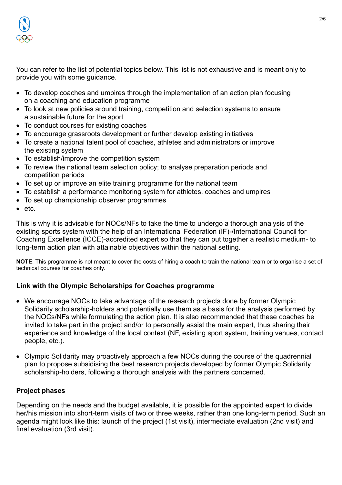

You can refer to the list of potential topics below. This list is not exhaustive and is meant only to provide you with some guidance.

- To develop coaches and umpires through the implementation of an action plan focusing on a coaching and education programme
- To look at new policies around training, competition and selection systems to ensure a sustainable future for the sport
- To conduct courses for existing coaches
- To encourage grassroots development or further develop existing initiatives
- To create a national talent pool of coaches, athletes and administrators or improve the existing system
- To establish/improve the competition system
- To review the national team selection policy; to analyse preparation periods and competition periods
- To set up or improve an elite training programme for the national team
- To establish a performance monitoring system for athletes, coaches and umpires
- To set up championship observer programmes
- etc.

This is why it is advisable for NOCs/NFs to take the time to undergo a thorough analysis of the existing sports system with the help of an International Federation (IF)-/International Council for Coaching Excellence (ICCE)-accredited expert so that they can put together a realistic medium- to long-term action plan with attainable objectives within the national setting.

**NOTE**: This programme is not meant to cover the costs of hiring a coach to train the national team or to organise a set of technical courses for coaches only.

### **Link with the Olympic Scholarships for Coaches programme**

- We encourage NOCs to take advantage of the research projects done by former Olympic Solidarity scholarship-holders and potentially use them as a basis for the analysis performed by the NOCs/NFs while formulating the action plan. It is also recommended that these coaches be invited to take part in the project and/or to personally assist the main expert, thus sharing their experience and knowledge of the local context (NF, existing sport system, training venues, contact people, etc.).
- Olympic Solidarity may proactively approach a few NOCs during the course of the quadrennial plan to propose subsidising the best research projects developed by former Olympic Solidarity scholarship-holders, following a thorough analysis with the partners concerned.

### **Project phases**

Depending on the needs and the budget available, it is possible for the appointed expert to divide her/his mission into short-term visits of two or three weeks, rather than one long-term period. Such an agenda might look like this: launch of the project (1st visit), intermediate evaluation (2nd visit) and final evaluation (3rd visit).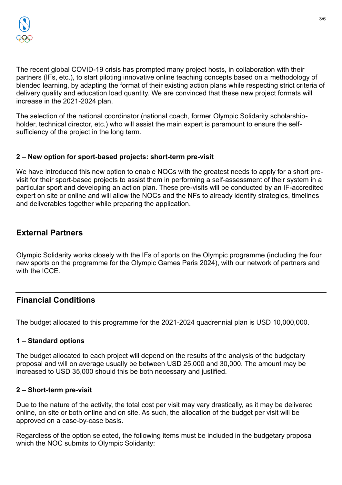

The recent global COVID-19 crisis has prompted many project hosts, in collaboration with their partners (IFs, etc.), to start piloting innovative online teaching concepts based on a methodology of blended learning, by adapting the format of their existing action plans while respecting strict criteria of delivery quality and education load quantity. We are convinced that these new project formats will increase in the 2021-2024 plan.

The selection of the national coordinator (national coach, former Olympic Solidarity scholarshipholder, technical director, etc.) who will assist the main expert is paramount to ensure the selfsufficiency of the project in the long term.

### **2 – New option for sport-based projects: short-term pre-visit**

We have introduced this new option to enable NOCs with the greatest needs to apply for a short previsit for their sport-based projects to assist them in performing a self-assessment of their system in a particular sport and developing an action plan. These pre-visits will be conducted by an IF-accredited expert on site or online and will allow the NOCs and the NFs to already identify strategies, timelines and deliverables together while preparing the application.

## **External Partners**

Olympic Solidarity works closely with the IFs of sports on the Olympic programme (including the four new sports on the programme for the Olympic Games Paris 2024), with our network of partners and with the ICCE.

### **Financial Conditions**

The budget allocated to this programme for the 2021-2024 quadrennial plan is USD 10,000,000.

### **1 – Standard options**

The budget allocated to each project will depend on the results of the analysis of the budgetary proposal and will on average usually be between USD 25,000 and 30,000. The amount may be increased to USD 35,000 should this be both necessary and justified.

### **2 – Short-term pre-visit**

Due to the nature of the activity, the total cost per visit may vary drastically, as it may be delivered online, on site or both online and on site. As such, the allocation of the budget per visit will be approved on a case-by-case basis.

Regardless of the option selected, the following items must be included in the budgetary proposal which the NOC submits to Olympic Solidarity: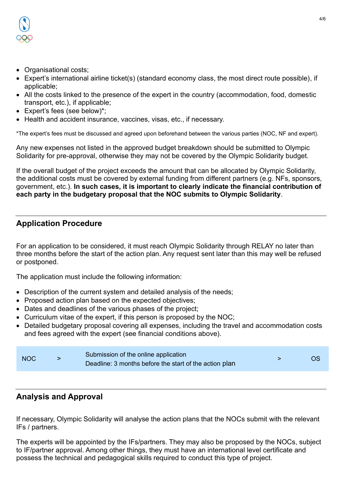

- Organisational costs;
- Expert's international airline ticket(s) (standard economy class, the most direct route possible), if applicable;
- All the costs linked to the presence of the expert in the country (accommodation, food, domestic transport, etc.), if applicable;
- Expert's fees (see below)\*;
- Health and accident insurance, vaccines, visas, etc., if necessary.

\*The expert's fees must be discussed and agreed upon beforehand between the various parties (NOC, NF and expert).

Any new expenses not listed in the approved budget breakdown should be submitted to Olympic Solidarity for pre-approval, otherwise they may not be covered by the Olympic Solidarity budget.

If the overall budget of the project exceeds the amount that can be allocated by Olympic Solidarity, the additional costs must be covered by external funding from different partners (e.g. NFs, sponsors, government, etc.). **In such cases, it is important to clearly indicate the financial contribution of each party in the budgetary proposal that the NOC submits to Olympic Solidarity**.

## **Application Procedure**

For an application to be considered, it must reach Olympic Solidarity through RELAY no later than three months before the start of the action plan. Any request sent later than this may well be refused or postponed.

The application must include the following information:

- Description of the current system and detailed analysis of the needs;
- Proposed action plan based on the expected objectives:
- Dates and deadlines of the various phases of the project;
- Curriculum vitae of the expert, if this person is proposed by the NOC;
- Detailed budgetary proposal covering all expenses, including the travel and accommodation costs and fees agreed with the expert (see financial conditions above).

| <b>NOC</b> | Submission of the online application                   |  |  |
|------------|--------------------------------------------------------|--|--|
|            | Deadline: 3 months before the start of the action plan |  |  |

### **Analysis and Approval**

If necessary, Olympic Solidarity will analyse the action plans that the NOCs submit with the relevant IFs / partners.

The experts will be appointed by the IFs/partners. They may also be proposed by the NOCs, subject to IF/partner approval. Among other things, they must have an international level certificate and possess the technical and pedagogical skills required to conduct this type of project.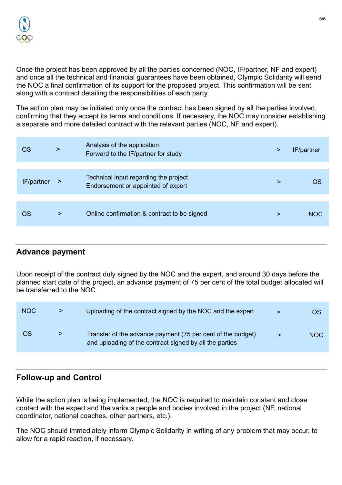Once the project has been approved by all the parties concerned (NOC, IF/partner, NF and expert) and once all the technical and financial guarantees have been obtained, Olympic Solidarity will send the NOC a final confirmation of its support for the proposed project. This confirmation will be sent along with a contract detailing the responsibilities of each party.

The action plan may be initiated only once the contract has been signed by all the parties involved, confirming that they accept its terms and conditions. If necessary, the NOC may consider establishing a separate and more detailed contract with the relevant parties (NOC, NF and expert).

| OS         | ⋗      | Analysis of the application<br>Forward to the IF/partner for study          | ⋗ | IF/partner |
|------------|--------|-----------------------------------------------------------------------------|---|------------|
|            |        |                                                                             |   |            |
| IF/partner | $\geq$ | Technical input regarding the project<br>Endorsement or appointed of expert | ⋗ |            |
|            |        |                                                                             |   |            |
| OS         | >      | Online confirmation & contract to be signed                                 | ⋗ | NOC        |
|            |        |                                                                             |   |            |

# **Advance payment**

Upon receipt of the contract duly signed by the NOC and the expert, and around 30 days before the planned start date of the project, an advance payment of 75 per cent of the total budget allocated will be transferred to the NOC.

| <b>NOC</b> | > | Uploading of the contract signed by the NOC and the expert                                                             |   | OS         |
|------------|---|------------------------------------------------------------------------------------------------------------------------|---|------------|
| OS         |   | Transfer of the advance payment (75 per cent of the budget)<br>and uploading of the contract signed by all the parties | ⋗ | <b>NOC</b> |

## **Follow-up and Control**

While the action plan is being implemented, the NOC is required to maintain constant and close contact with the expert and the various people and bodies involved in the project (NF, national coordinator, national coaches, other partners, etc.).

The NOC should immediately inform Olympic Solidarity in writing of any problem that may occur, to allow for a rapid reaction, if necessary.